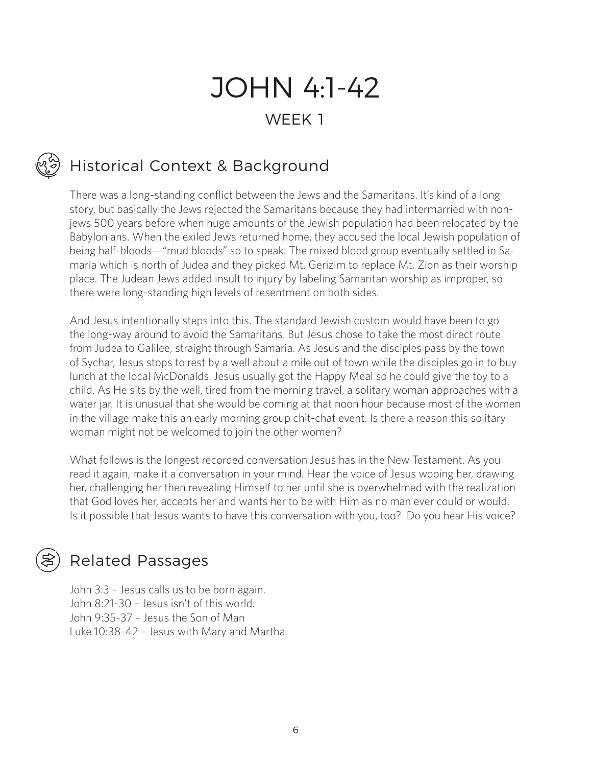# JOHN 4:1-42 WEEK<sub>1</sub>

# Historical Context & Background

There was a long-standing conflict between the Jews and the Samaritans. It's kind of a long story, but basically the Jews rejected the Samaritans because they had intermarried with nonjews 500 years before when huge amounts of the Jewish population had been relocated by the Babylonians. When the exiled Jews returned home, they accused the local Jewish population of being half-bloods—"mud bloods" so to speak. The mixed blood group eventually settled in Samaria which is north of Judea and they picked Mt. Gerizim to replace Mt. Zion as their worship place. The Judean Jews added insult to injury by labeling Samaritan worship as improper, so there were long-standing high levels of resentment on both sides.

And Jesus intentionally steps into this. The standard Jewish custom would have been to go the long-way around to avoid the Samaritans. But Jesus chose to take the most direct route from Judea to Galilee, straight through Samaria. As Jesus and the disciples pass by the town of Sychar, Jesus stops to rest by a well about a mile out of town while the disciples go in to buy lunch at the local McDonalds. Jesus usually got the Happy Meal so he could give the toy to a child. As He sits by the well, tired from the morning travel, a solitary woman approaches with a water jar. It is unusual that she would be coming at that noon hour because most of the women in the village make this an early morning group chit-chat event. Is there a reason this solitary woman might not be welcomed to join the other women?

What follows is the longest recorded conversation Jesus has in the New Testament. As you read it again, make it a conversation in your mind. Hear the voice of Jesus wooing her, drawing her, challenging her then revealing Himself to her until she is overwhelmed with the realization that God loves her, accepts her and wants her to be with Him as no man ever could or would. Is it possible that Jesus wants to have this conversation with you, too? Do you hear His voice?

## Related Passages

John 3:3 – Jesus calls us to be born again. John 8:21-30 – Jesus isn't of this world. John 9:35-37 – Jesus the Son of Man Luke 10:38-42 – Jesus with Mary and Martha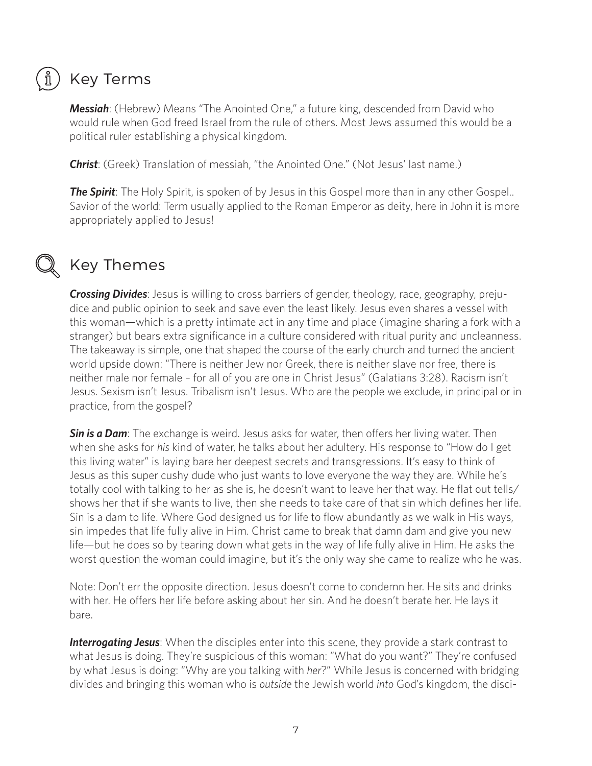# Key Terms

*Messiah*: (Hebrew) Means "The Anointed One," a future king, descended from David who would rule when God freed Israel from the rule of others. Most Jews assumed this would be a political ruler establishing a physical kingdom.

*Christ*: (Greek) Translation of messiah, "the Anointed One." (Not Jesus' last name.)

**The Spirit**: The Holy Spirit, is spoken of by Jesus in this Gospel more than in any other Gospel.. Savior of the world: Term usually applied to the Roman Emperor as deity, here in John it is more appropriately applied to Jesus!

៍ ក្ន

# Key Themes

*Crossing Divides*: Jesus is willing to cross barriers of gender, theology, race, geography, prejudice and public opinion to seek and save even the least likely. Jesus even shares a vessel with this woman—which is a pretty intimate act in any time and place (imagine sharing a fork with a stranger) but bears extra significance in a culture considered with ritual purity and uncleanness. The takeaway is simple, one that shaped the course of the early church and turned the ancient world upside down: "There is neither Jew nor Greek, there is neither slave nor free, there is neither male nor female – for all of you are one in Christ Jesus" (Galatians 3:28). Racism isn't Jesus. Sexism isn't Jesus. Tribalism isn't Jesus. Who are the people we exclude, in principal or in practice, from the gospel?

*Sin is a Dam*: The exchange is weird. Jesus asks for water, then offers her living water. Then when she asks for *his* kind of water, he talks about her adultery. His response to "How do I get this living water" is laying bare her deepest secrets and transgressions. It's easy to think of Jesus as this super cushy dude who just wants to love everyone the way they are. While he's totally cool with talking to her as she is, he doesn't want to leave her that way. He flat out tells/ shows her that if she wants to live, then she needs to take care of that sin which defines her life. Sin is a dam to life. Where God designed us for life to flow abundantly as we walk in His ways, sin impedes that life fully alive in Him. Christ came to break that damn dam and give you new life—but he does so by tearing down what gets in the way of life fully alive in Him. He asks the worst question the woman could imagine, but it's the only way she came to realize who he was.

Note: Don't err the opposite direction. Jesus doesn't come to condemn her. He sits and drinks with her. He offers her life before asking about her sin. And he doesn't berate her. He lays it bare.

*Interrogating Jesus*: When the disciples enter into this scene, they provide a stark contrast to what Jesus is doing. They're suspicious of this woman: "What do you want?" They're confused by what Jesus is doing: "Why are you talking with *her*?" While Jesus is concerned with bridging divides and bringing this woman who is *outside* the Jewish world *into* God's kingdom, the disci-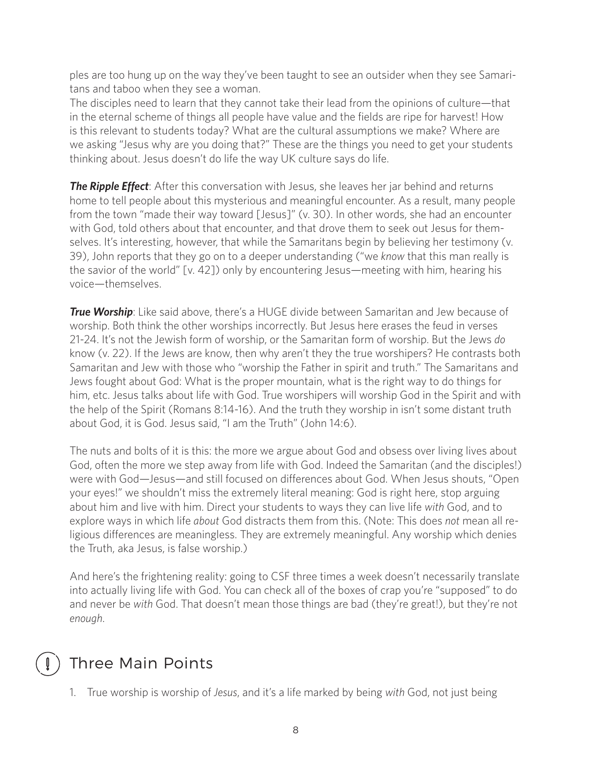ples are too hung up on the way they've been taught to see an outsider when they see Samaritans and taboo when they see a woman.

The disciples need to learn that they cannot take their lead from the opinions of culture—that in the eternal scheme of things all people have value and the fields are ripe for harvest! How is this relevant to students today? What are the cultural assumptions we make? Where are we asking "Jesus why are you doing that?" These are the things you need to get your students thinking about. Jesus doesn't do life the way UK culture says do life.

**The Ripple Effect**: After this conversation with Jesus, she leaves her jar behind and returns home to tell people about this mysterious and meaningful encounter. As a result, many people from the town "made their way toward [Jesus]" (v. 30). In other words, she had an encounter with God, told others about that encounter, and that drove them to seek out Jesus for themselves. It's interesting, however, that while the Samaritans begin by believing her testimony (v. 39), John reports that they go on to a deeper understanding ("we *know* that this man really is the savior of the world" [v. 42]) only by encountering Jesus—meeting with him, hearing his voice—themselves.

*True Worship*: Like said above, there's a HUGE divide between Samaritan and Jew because of worship. Both think the other worships incorrectly. But Jesus here erases the feud in verses 21-24. It's not the Jewish form of worship, or the Samaritan form of worship. But the Jews *do* know (v. 22). If the Jews are know, then why aren't they the true worshipers? He contrasts both Samaritan and Jew with those who "worship the Father in spirit and truth." The Samaritans and Jews fought about God: What is the proper mountain, what is the right way to do things for him, etc. Jesus talks about life with God. True worshipers will worship God in the Spirit and with the help of the Spirit (Romans 8:14-16). And the truth they worship in isn't some distant truth about God, it is God. Jesus said, "I am the Truth" (John 14:6).

The nuts and bolts of it is this: the more we argue about God and obsess over living lives about God, often the more we step away from life with God. Indeed the Samaritan (and the disciples!) were with God—Jesus—and still focused on differences about God. When Jesus shouts, "Open your eyes!" we shouldn't miss the extremely literal meaning: God is right here, stop arguing about him and live with him. Direct your students to ways they can live life *with* God, and to explore ways in which life *about* God distracts them from this. (Note: This does *not* mean all religious differences are meaningless. They are extremely meaningful. Any worship which denies the Truth, aka Jesus, is false worship.)

And here's the frightening reality: going to CSF three times a week doesn't necessarily translate into actually living life with God. You can check all of the boxes of crap you're "supposed" to do and never be *with* God. That doesn't mean those things are bad (they're great!), but they're not *enough*.

# Three Main Points

1. True worship is worship of *Jesus*, and it's a life marked by being *with* God, not just being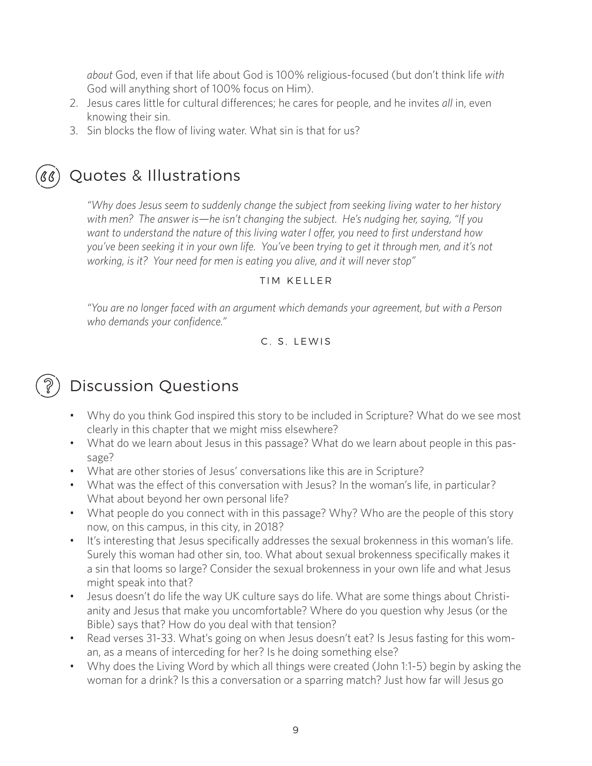*about* God, even if that life about God is 100% religious-focused (but don't think life *with* God will anything short of 100% focus on Him).

- 2. Jesus cares little for cultural differences; he cares for people, and he invites *all* in, even knowing their sin.
- 3. Sin blocks the flow of living water. What sin is that for us?



# Quotes & Illustrations

*"Why does Jesus seem to suddenly change the subject from seeking living water to her history with men? The answer is—he isn't changing the subject. He's nudging her, saying, "If you want to understand the nature of this living water I offer, you need to first understand how you've been seeking it in your own life. You've been trying to get it through men, and it's not working, is it? Your need for men is eating you alive, and it will never stop"* 

### TIM KELLER

*"You are no longer faced with an argument which demands your agreement, but with a Person who demands your confidence."*

## C. S. LEWIS

### Ş Discussion Questions

- Why do you think God inspired this story to be included in Scripture? What do we see most clearly in this chapter that we might miss elsewhere?
- What do we learn about Jesus in this passage? What do we learn about people in this passage?
- What are other stories of Jesus' conversations like this are in Scripture?
- What was the effect of this conversation with Jesus? In the woman's life, in particular? What about beyond her own personal life?
- What people do you connect with in this passage? Why? Who are the people of this story now, on this campus, in this city, in 2018?
- It's interesting that Jesus specifically addresses the sexual brokenness in this woman's life. Surely this woman had other sin, too. What about sexual brokenness specifically makes it a sin that looms so large? Consider the sexual brokenness in your own life and what Jesus might speak into that?
- Jesus doesn't do life the way UK culture says do life. What are some things about Christianity and Jesus that make you uncomfortable? Where do you question why Jesus (or the Bible) says that? How do you deal with that tension?
- Read verses 31-33. What's going on when Jesus doesn't eat? Is Jesus fasting for this woman, as a means of interceding for her? Is he doing something else?
- Why does the Living Word by which all things were created (John 1:1-5) begin by asking the woman for a drink? Is this a conversation or a sparring match? Just how far will Jesus go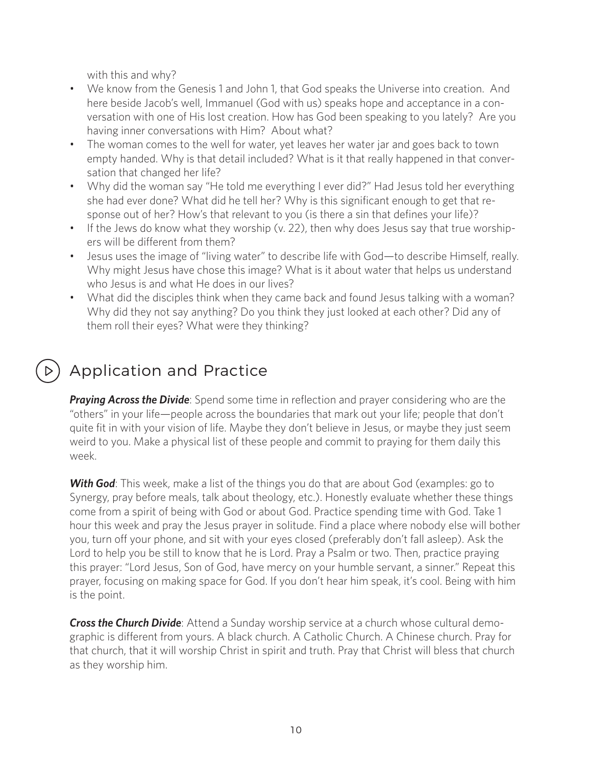with this and why?

- We know from the Genesis 1 and John 1, that God speaks the Universe into creation. And here beside Jacob's well, Immanuel (God with us) speaks hope and acceptance in a conversation with one of His lost creation. How has God been speaking to you lately? Are you having inner conversations with Him? About what?
- The woman comes to the well for water, yet leaves her water jar and goes back to town empty handed. Why is that detail included? What is it that really happened in that conversation that changed her life?
- Why did the woman say "He told me everything I ever did?" Had Jesus told her everything she had ever done? What did he tell her? Why is this significant enough to get that response out of her? How's that relevant to you (is there a sin that defines your life)?
- If the Jews do know what they worship (v. 22), then why does Jesus say that true worshipers will be different from them?
- Jesus uses the image of "living water" to describe life with God—to describe Himself, really. Why might Jesus have chose this image? What is it about water that helps us understand who Jesus is and what He does in our lives?
- What did the disciples think when they came back and found Jesus talking with a woman? Why did they not say anything? Do you think they just looked at each other? Did any of them roll their eyes? What were they thinking?

# Application and Practice

**Praying Across the Divide**: Spend some time in reflection and prayer considering who are the "others" in your life—people across the boundaries that mark out your life; people that don't quite fit in with your vision of life. Maybe they don't believe in Jesus, or maybe they just seem weird to you. Make a physical list of these people and commit to praying for them daily this week.

**With God**: This week, make a list of the things you do that are about God (examples: go to Synergy, pray before meals, talk about theology, etc.). Honestly evaluate whether these things come from a spirit of being with God or about God. Practice spending time with God. Take 1 hour this week and pray the Jesus prayer in solitude. Find a place where nobody else will bother you, turn off your phone, and sit with your eyes closed (preferably don't fall asleep). Ask the Lord to help you be still to know that he is Lord. Pray a Psalm or two. Then, practice praying this prayer: "Lord Jesus, Son of God, have mercy on your humble servant, a sinner." Repeat this prayer, focusing on making space for God. If you don't hear him speak, it's cool. Being with him is the point.

*Cross the Church Divide*: Attend a Sunday worship service at a church whose cultural demographic is different from yours. A black church. A Catholic Church. A Chinese church. Pray for that church, that it will worship Christ in spirit and truth. Pray that Christ will bless that church as they worship him.